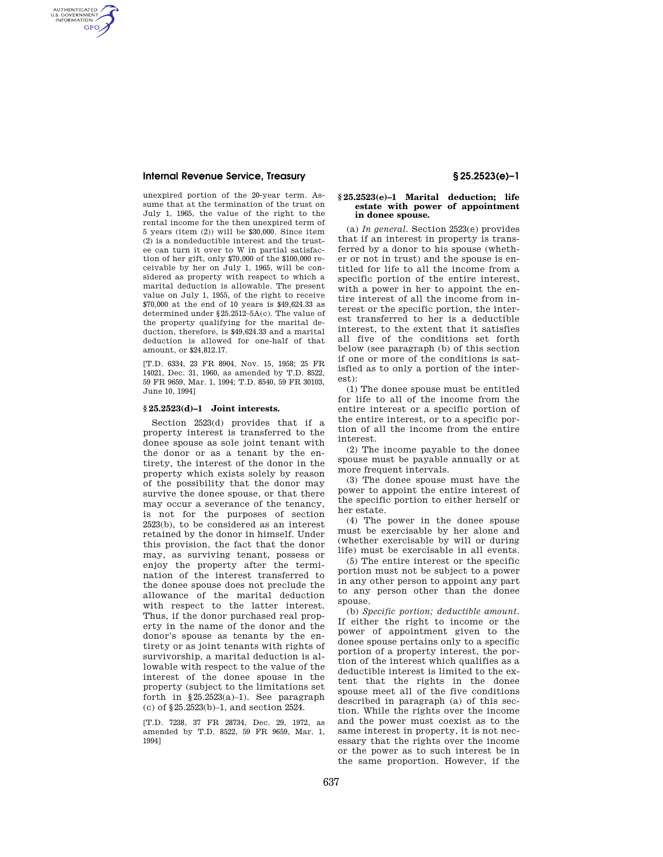AUTHENTICATED<br>U.S. GOVERNMENT<br>INFORMATION **GPO** 

> unexpired portion of the 20-year term. Assume that at the termination of the trust on July 1, 1965, the value of the right to the rental income for the then unexpired term of 5 years (item (2)) will be \$30,000. Since item (2) is a nondeductible interest and the trustee can turn it over to W in partial satisfaction of her gift, only \$70,000 of the \$100,000 receivable by her on July 1, 1965, will be considered as property with respect to which a marital deduction is allowable. The present value on July 1, 1955, of the right to receive \$70,000 at the end of 10 years is \$49,624.33 as determined under §25.2512–5A(c). The value of the property qualifying for the marital deduction, therefore, is \$49,624.33 and a marital deduction is allowed for one-half of that amount, or \$24,812.17.

[T.D. 6334, 23 FR 8904, Nov. 15, 1958; 25 FR 14021, Dec. 31, 1960, as amended by T.D. 8522, 59 FR 9659, Mar. 1, 1994; T.D. 8540, 59 FR 30103, June 10, 1994]

## **§ 25.2523(d)–1 Joint interests.**

Section 2523(d) provides that if a property interest is transferred to the donee spouse as sole joint tenant with the donor or as a tenant by the entirety, the interest of the donor in the property which exists solely by reason of the possibility that the donor may survive the donee spouse, or that there may occur a severance of the tenancy, is not for the purposes of section 2523(b), to be considered as an interest retained by the donor in himself. Under this provision, the fact that the donor may, as surviving tenant, possess or enjoy the property after the termination of the interest transferred to the donee spouse does not preclude the allowance of the marital deduction with respect to the latter interest. Thus, if the donor purchased real property in the name of the donor and the donor's spouse as tenants by the entirety or as joint tenants with rights of survivorship, a marital deduction is allowable with respect to the value of the interest of the donee spouse in the property (subject to the limitations set forth in  $§25.2523(a)-1$ ). See paragraph (c) of §25.2523(b)–1, and section 2524.

[T.D. 7238, 37 FR 28734, Dec. 29, 1972, as amended by T.D. 8522, 59 FR 9659, Mar. 1, 1994]

### **§ 25.2523(e)–1 Marital deduction; life estate with power of appointment in donee spouse.**

(a) *In general.* Section 2523(e) provides that if an interest in property is transferred by a donor to his spouse (whether or not in trust) and the spouse is entitled for life to all the income from a specific portion of the entire interest, with a power in her to appoint the entire interest of all the income from interest or the specific portion, the interest transferred to her is a deductible interest, to the extent that it satisfies all five of the conditions set forth below (see paragraph (b) of this section if one or more of the conditions is satisfied as to only a portion of the interest):

(1) The donee spouse must be entitled for life to all of the income from the entire interest or a specific portion of the entire interest, or to a specific portion of all the income from the entire interest.

(2) The income payable to the donee spouse must be payable annually or at more frequent intervals.

(3) The donee spouse must have the power to appoint the entire interest of the specific portion to either herself or her estate.

(4) The power in the donee spouse must be exercisable by her alone and (whether exercisable by will or during life) must be exercisable in all events.

(5) The entire interest or the specific portion must not be subject to a power in any other person to appoint any part to any person other than the donee spouse.

(b) *Specific portion; deductible amount.*  If either the right to income or the power of appointment given to the donee spouse pertains only to a specific portion of a property interest, the portion of the interest which qualifies as a deductible interest is limited to the extent that the rights in the donee spouse meet all of the five conditions described in paragraph (a) of this section. While the rights over the income and the power must coexist as to the same interest in property, it is not necessary that the rights over the income or the power as to such interest be in the same proportion. However, if the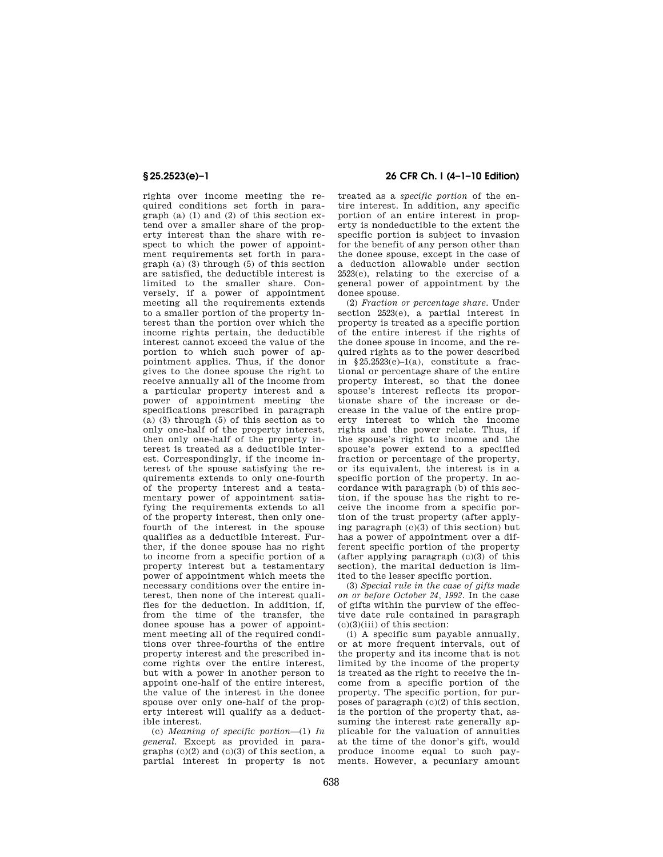rights over income meeting the required conditions set forth in paragraph (a) (1) and (2) of this section  $ex$ tend over a smaller share of the property interest than the share with respect to which the power of appointment requirements set forth in paragraph (a) (3) through (5) of this section are satisfied, the deductible interest is limited to the smaller share. Conversely, if a power of appointment meeting all the requirements extends to a smaller portion of the property interest than the portion over which the income rights pertain, the deductible interest cannot exceed the value of the portion to which such power of appointment applies. Thus, if the donor gives to the donee spouse the right to receive annually all of the income from a particular property interest and a power of appointment meeting the specifications prescribed in paragraph (a) (3) through (5) of this section as to only one-half of the property interest, then only one-half of the property interest is treated as a deductible interest. Correspondingly, if the income interest of the spouse satisfying the requirements extends to only one-fourth of the property interest and a testamentary power of appointment satisfying the requirements extends to all of the property interest, then only onefourth of the interest in the spouse qualifies as a deductible interest. Further, if the donee spouse has no right to income from a specific portion of a property interest but a testamentary power of appointment which meets the necessary conditions over the entire interest, then none of the interest qualifies for the deduction. In addition, if, from the time of the transfer, the donee spouse has a power of appointment meeting all of the required conditions over three-fourths of the entire property interest and the prescribed income rights over the entire interest, but with a power in another person to appoint one-half of the entire interest, the value of the interest in the donee spouse over only one-half of the property interest will qualify as a deductible interest.

(c) *Meaning of specific portion*—(1) *In general.* Except as provided in paragraphs  $(c)(2)$  and  $(c)(3)$  of this section, a partial interest in property is not

# **§ 25.2523(e)–1 26 CFR Ch. I (4–1–10 Edition)**

treated as a *specific portion* of the entire interest. In addition, any specific portion of an entire interest in property is nondeductible to the extent the specific portion is subject to invasion for the benefit of any person other than the donee spouse, except in the case of a deduction allowable under section 2523(e), relating to the exercise of a general power of appointment by the donee spouse.

(2) *Fraction or percentage share.* Under section 2523(e), a partial interest in property is treated as a specific portion of the entire interest if the rights of the donee spouse in income, and the required rights as to the power described in  $$25.2523(e)-1(a)$ , constitute a fractional or percentage share of the entire property interest, so that the donee spouse's interest reflects its proportionate share of the increase or decrease in the value of the entire property interest to which the income rights and the power relate. Thus, if the spouse's right to income and the spouse's power extend to a specified fraction or percentage of the property, or its equivalent, the interest is in a specific portion of the property. In accordance with paragraph (b) of this section, if the spouse has the right to receive the income from a specific portion of the trust property (after applying paragraph (c)(3) of this section) but has a power of appointment over a different specific portion of the property (after applying paragraph (c)(3) of this section), the marital deduction is limited to the lesser specific portion.

(3) *Special rule in the case of gifts made on or before October 24, 1992.* In the case of gifts within the purview of the effective date rule contained in paragraph  $(c)(3)(iii)$  of this section:

(i) A specific sum payable annually, or at more frequent intervals, out of the property and its income that is not limited by the income of the property is treated as the right to receive the income from a specific portion of the property. The specific portion, for purposes of paragraph (c)(2) of this section, is the portion of the property that, assuming the interest rate generally applicable for the valuation of annuities at the time of the donor's gift, would produce income equal to such payments. However, a pecuniary amount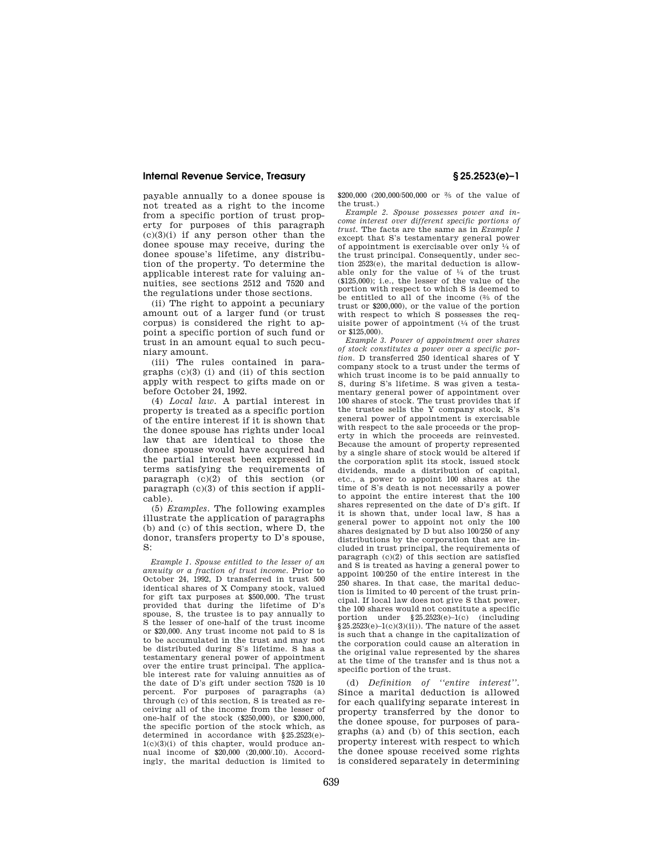payable annually to a donee spouse is not treated as a right to the income from a specific portion of trust property for purposes of this paragraph  $(c)(3)(i)$  if any person other than the donee spouse may receive, during the donee spouse's lifetime, any distribution of the property. To determine the applicable interest rate for valuing annuities, see sections 2512 and 7520 and the regulations under those sections.

(ii) The right to appoint a pecuniary amount out of a larger fund (or trust corpus) is considered the right to appoint a specific portion of such fund or trust in an amount equal to such pecuniary amount.

(iii) The rules contained in paragraphs (c)(3) (i) and (ii) of this section apply with respect to gifts made on or before October 24, 1992.

(4) *Local law.* A partial interest in property is treated as a specific portion of the entire interest if it is shown that the donee spouse has rights under local law that are identical to those the donee spouse would have acquired had the partial interest been expressed in terms satisfying the requirements of paragraph (c)(2) of this section (or paragraph  $(c)(3)$  of this section if applicable).

(5) *Examples.* The following examples illustrate the application of paragraphs (b) and (c) of this section, where D, the donor, transfers property to D's spouse,  $\mathbf{S}$ 

*Example 1. Spouse entitled to the lesser of an annuity or a fraction of trust income.* Prior to October 24, 1992, D transferred in trust 500 identical shares of X Company stock, valued for gift tax purposes at \$500,000. The trust provided that during the lifetime of D's spouse, S, the trustee is to pay annually to S the lesser of one-half of the trust income or \$20,000. Any trust income not paid to S is to be accumulated in the trust and may not be distributed during S's lifetime. S has a testamentary general power of appointment over the entire trust principal. The applicable interest rate for valuing annuities as of the date of D's gift under section 7520 is 10 percent. For purposes of paragraphs (a) through (c) of this section, S is treated as receiving all of the income from the lesser of one-half of the stock (\$250,000), or \$200,000, the specific portion of the stock which, as determined in accordance with §25.2523(e)- 1(c)(3)(i) of this chapter, would produce annual income of \$20,000 (20,000/.10). Accordingly, the marital deduction is limited to

\$200,000 (200,000/500,000 or 2⁄5 of the value of the trust.)

*Example 2. Spouse possesses power and in-come interest over different specific portions of trust.* The facts are the same as in *Example 1*  except that S's testamentary general power of appointment is exercisable over only 1⁄4 of the trust principal. Consequently, under section 2523(e), the marital deduction is allowable only for the value of  $\frac{1}{4}$  of the trust (\$125,000); i.e., the lesser of the value of the portion with respect to which S is deemed to be entitled to all of the income  $\frac{2}{5}$  of the trust or \$200,000), or the value of the portion with respect to which S possesses the requisite power of appointment  $(1/4)$  of the trust or \$125,000).

*Example 3. Power of appointment over shares of stock constitutes a power over a specific por-tion.* D transferred 250 identical shares of Y company stock to a trust under the terms of which trust income is to be paid annually to S, during S's lifetime. S was given a testamentary general power of appointment over 100 shares of stock. The trust provides that if the trustee sells the Y company stock, S's general power of appointment is exercisable with respect to the sale proceeds or the property in which the proceeds are reinvested. Because the amount of property represented by a single share of stock would be altered if the corporation split its stock, issued stock dividends, made a distribution of capital, etc., a power to appoint 100 shares at the time of S's death is not necessarily a power to appoint the entire interest that the 100 shares represented on the date of D's gift. If it is shown that, under local law, S has a general power to appoint not only the 100 shares designated by D but also 100/250 of any distributions by the corporation that are included in trust principal, the requirements of paragraph (c)(2) of this section are satisfied and S is treated as having a general power to appoint 100/250 of the entire interest in the 250 shares. In that case, the marital deduction is limited to 40 percent of the trust principal. If local law does not give S that power, the 100 shares would not constitute a specific portion under §25.2523(e)–1(c) (including  $§25.2523(e)-1(c)(3)(ii)$ . The nature of the asset is such that a change in the capitalization of the corporation could cause an alteration in the original value represented by the shares at the time of the transfer and is thus not a specific portion of the trust.

(d) *Definition of ''entire interest''.*  Since a marital deduction is allowed for each qualifying separate interest in property transferred by the donor to the donee spouse, for purposes of paragraphs (a) and (b) of this section, each property interest with respect to which the donee spouse received some rights is considered separately in determining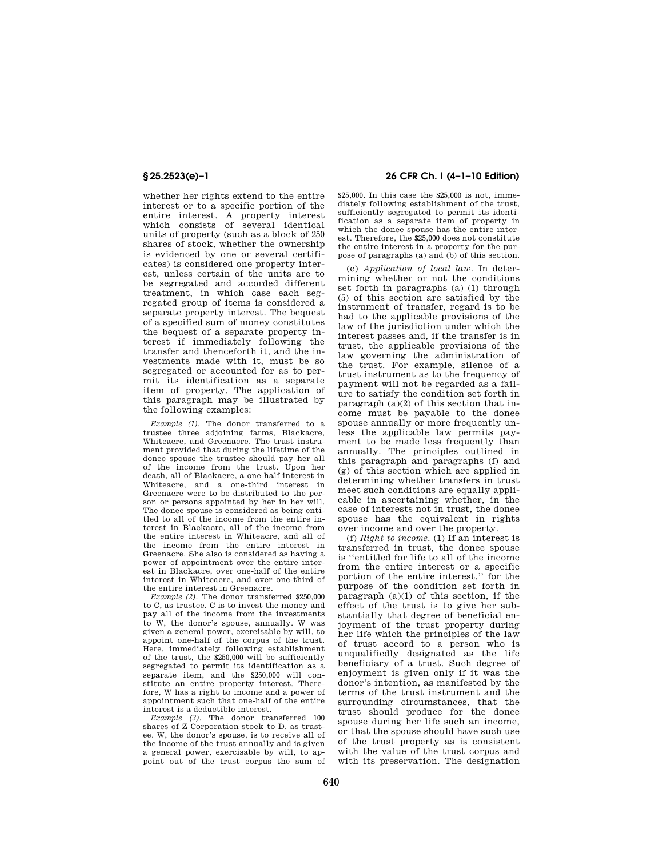whether her rights extend to the entire interest or to a specific portion of the entire interest. A property interest which consists of several identical units of property (such as a block of 250 shares of stock, whether the ownership is evidenced by one or several certificates) is considered one property interest, unless certain of the units are to be segregated and accorded different treatment, in which case each segregated group of items is considered a separate property interest. The bequest of a specified sum of money constitutes the bequest of a separate property interest if immediately following the transfer and thenceforth it, and the investments made with it, must be so segregated or accounted for as to permit its identification as a separate item of property. The application of this paragraph may be illustrated by the following examples:

*Example (1).* The donor transferred to a trustee three adjoining farms, Blackacre, Whiteacre, and Greenacre. The trust instrument provided that during the lifetime of the donee spouse the trustee should pay her all of the income from the trust. Upon her death, all of Blackacre, a one-half interest in Whiteacre, and a one-third interest in Greenacre were to be distributed to the person or persons appointed by her in her will. The donee spouse is considered as being entitled to all of the income from the entire interest in Blackacre, all of the income from the entire interest in Whiteacre, and all of the income from the entire interest in Greenacre. She also is considered as having a power of appointment over the entire interest in Blackacre, over one-half of the entire interest in Whiteacre, and over one-third of the entire interest in Greenacre.

*Example (2).* The donor transferred \$250,000 to C, as trustee. C is to invest the money and pay all of the income from the investments to W, the donor's spouse, annually. W was given a general power, exercisable by will, to appoint one-half of the corpus of the trust. Here, immediately following establishment of the trust, the \$250,000 will be sufficiently segregated to permit its identification as a separate item, and the \$250,000 will constitute an entire property interest. Therefore, W has a right to income and a power of appointment such that one-half of the entire interest is a deductible interest.

*Example (3).* The donor transferred 100 shares of Z Corporation stock to D, as trustee. W, the donor's spouse, is to receive all of the income of the trust annually and is given a general power, exercisable by will, to appoint out of the trust corpus the sum of

# **§ 25.2523(e)–1 26 CFR Ch. I (4–1–10 Edition)**

\$25,000. In this case the \$25,000 is not, immediately following establishment of the trust, sufficiently segregated to permit its identification as a separate item of property in which the donee spouse has the entire interest. Therefore, the \$25,000 does not constitute the entire interest in a property for the purpose of paragraphs (a) and (b) of this section.

(e) *Application of local law.* In determining whether or not the conditions set forth in paragraphs (a) (1) through (5) of this section are satisfied by the instrument of transfer, regard is to be had to the applicable provisions of the law of the jurisdiction under which the interest passes and, if the transfer is in trust, the applicable provisions of the law governing the administration of the trust. For example, silence of a trust instrument as to the frequency of payment will not be regarded as a failure to satisfy the condition set forth in paragraph (a)(2) of this section that income must be payable to the donee spouse annually or more frequently unless the applicable law permits payment to be made less frequently than annually. The principles outlined in this paragraph and paragraphs (f) and (g) of this section which are applied in determining whether transfers in trust meet such conditions are equally applicable in ascertaining whether, in the case of interests not in trust, the donee spouse has the equivalent in rights over income and over the property.

(f) *Right to income.* (1) If an interest is transferred in trust, the donee spouse is ''entitled for life to all of the income from the entire interest or a specific portion of the entire interest,'' for the purpose of the condition set forth in paragraph  $(a)(1)$  of this section, if the effect of the trust is to give her substantially that degree of beneficial enjoyment of the trust property during her life which the principles of the law of trust accord to a person who is unqualifiedly designated as the life beneficiary of a trust. Such degree of enjoyment is given only if it was the donor's intention, as manifested by the terms of the trust instrument and the surrounding circumstances, that the trust should produce for the donee spouse during her life such an income, or that the spouse should have such use of the trust property as is consistent with the value of the trust corpus and with its preservation. The designation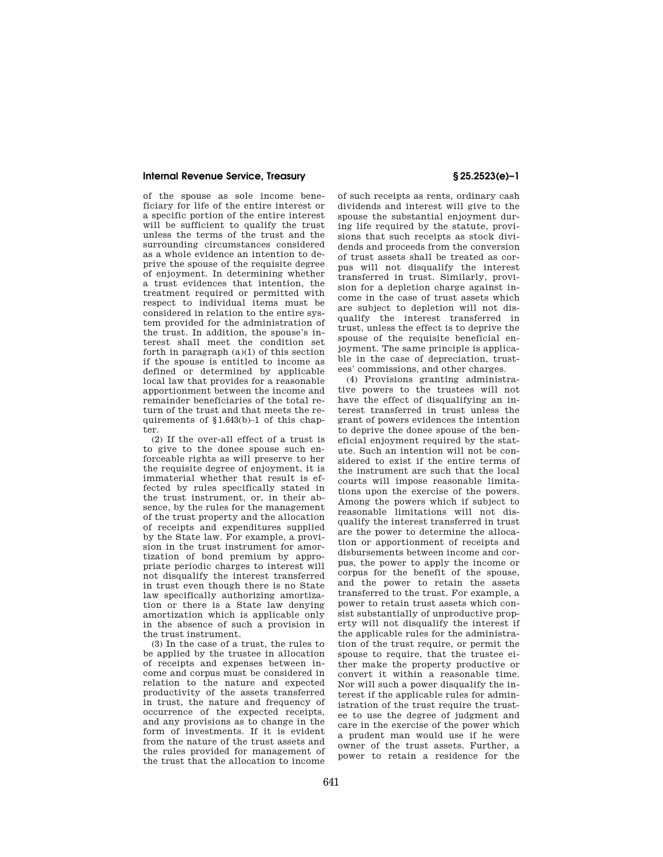of the spouse as sole income beneficiary for life of the entire interest or a specific portion of the entire interest will be sufficient to qualify the trust unless the terms of the trust and the surrounding circumstances considered as a whole evidence an intention to deprive the spouse of the requisite degree of enjoyment. In determining whether a trust evidences that intention, the treatment required or permitted with respect to individual items must be considered in relation to the entire system provided for the administration of the trust. In addition, the spouse's interest shall meet the condition set forth in paragraph  $(a)(1)$  of this section if the spouse is entitled to income as defined or determined by applicable local law that provides for a reasonable apportionment between the income and remainder beneficiaries of the total return of the trust and that meets the requirements of §1.643(b)–1 of this chapter.

(2) If the over-all effect of a trust is to give to the donee spouse such enforceable rights as will preserve to her the requisite degree of enjoyment, it is immaterial whether that result is effected by rules specifically stated in the trust instrument, or, in their absence, by the rules for the management of the trust property and the allocation of receipts and expenditures supplied by the State law. For example, a provision in the trust instrument for amortization of bond premium by appropriate periodic charges to interest will not disqualify the interest transferred in trust even though there is no State law specifically authorizing amortization or there is a State law denying amortization which is applicable only in the absence of such a provision in the trust instrument.

(3) In the case of a trust, the rules to be applied by the trustee in allocation of receipts and expenses between income and corpus must be considered in relation to the nature and expected productivity of the assets transferred in trust, the nature and frequency of occurrence of the expected receipts, and any provisions as to change in the form of investments. If it is evident from the nature of the trust assets and the rules provided for management of the trust that the allocation to income

of such receipts as rents, ordinary cash dividends and interest will give to the spouse the substantial enjoyment during life required by the statute, provisions that such receipts as stock dividends and proceeds from the conversion of trust assets shall be treated as corpus will not disqualify the interest transferred in trust. Similarly, provision for a depletion charge against income in the case of trust assets which are subject to depletion will not disqualify the interest transferred in trust, unless the effect is to deprive the spouse of the requisite beneficial enjoyment. The same principle is applicable in the case of depreciation, trustees' commissions, and other charges.

(4) Provisions granting administrative powers to the trustees will not have the effect of disqualifying an interest transferred in trust unless the grant of powers evidences the intention to deprive the donee spouse of the beneficial enjoyment required by the statute. Such an intention will not be considered to exist if the entire terms of the instrument are such that the local courts will impose reasonable limitations upon the exercise of the powers. Among the powers which if subject to reasonable limitations will not disqualify the interest transferred in trust are the power to determine the allocation or apportionment of receipts and disbursements between income and corpus, the power to apply the income or corpus for the benefit of the spouse, and the power to retain the assets transferred to the trust. For example, a power to retain trust assets which consist substantially of unproductive property will not disqualify the interest if the applicable rules for the administration of the trust require, or permit the spouse to require, that the trustee either make the property productive or convert it within a reasonable time. Nor will such a power disqualify the interest if the applicable rules for administration of the trust require the trustee to use the degree of judgment and care in the exercise of the power which a prudent man would use if he were owner of the trust assets. Further, a power to retain a residence for the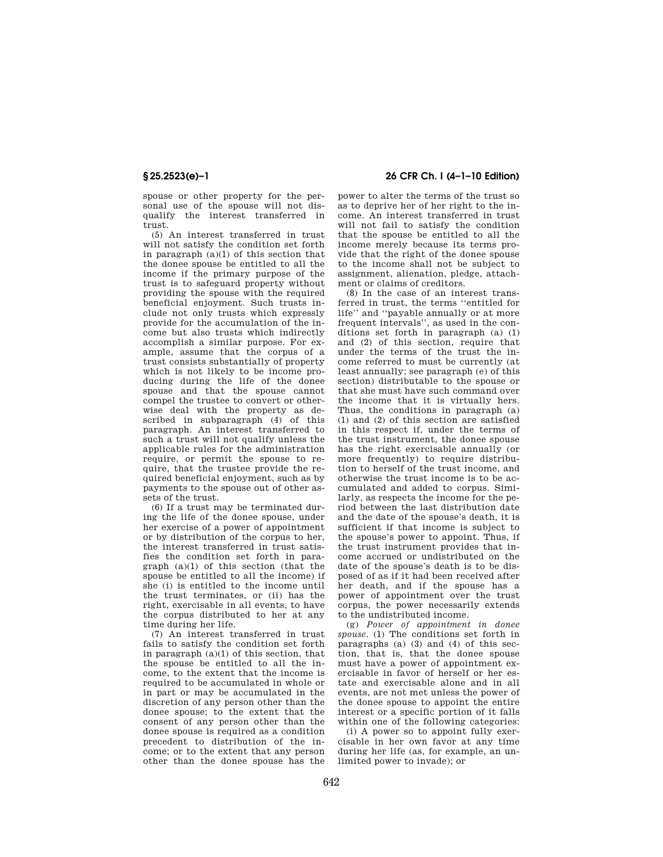spouse or other property for the personal use of the spouse will not disqualify the interest transferred in trust.

(5) An interest transferred in trust will not satisfy the condition set forth in paragraph  $(a)(1)$  of this section that the donee spouse be entitled to all the income if the primary purpose of the trust is to safeguard property without providing the spouse with the required beneficial enjoyment. Such trusts include not only trusts which expressly provide for the accumulation of the income but also trusts which indirectly accomplish a similar purpose. For example, assume that the corpus of a trust consists substantially of property which is not likely to be income producing during the life of the donee spouse and that the spouse cannot compel the trustee to convert or otherwise deal with the property as described in subparagraph (4) of this paragraph. An interest transferred to such a trust will not qualify unless the applicable rules for the administration require, or permit the spouse to require, that the trustee provide the required beneficial enjoyment, such as by payments to the spouse out of other assets of the trust.

(6) If a trust may be terminated during the life of the donee spouse, under her exercise of a power of appointment or by distribution of the corpus to her, the interest transferred in trust satisfies the condition set forth in paragraph (a)(1) of this section (that the spouse be entitled to all the income) if she (i) is entitled to the income until the trust terminates, or (ii) has the right, exercisable in all events, to have the corpus distributed to her at any time during her life.

(7) An interest transferred in trust fails to satisfy the condition set forth in paragraph  $(a)(1)$  of this section, that the spouse be entitled to all the income, to the extent that the income is required to be accumulated in whole or in part or may be accumulated in the discretion of any person other than the donee spouse; to the extent that the consent of any person other than the donee spouse is required as a condition precedent to distribution of the income; or to the extent that any person other than the donee spouse has the

# **§ 25.2523(e)–1 26 CFR Ch. I (4–1–10 Edition)**

power to alter the terms of the trust so as to deprive her of her right to the income. An interest transferred in trust will not fail to satisfy the condition that the spouse be entitled to all the income merely because its terms provide that the right of the donee spouse to the income shall not be subject to assignment, alienation, pledge, attachment or claims of creditors.

(8) In the case of an interest transferred in trust, the terms ''entitled for life'' and ''payable annually or at more frequent intervals'', as used in the conditions set forth in paragraph (a) (1) and (2) of this section, require that under the terms of the trust the income referred to must be currently (at least annually; see paragraph (e) of this section) distributable to the spouse or that she must have such command over the income that it is virtually hers. Thus, the conditions in paragraph (a) (1) and (2) of this section are satisfied in this respect if, under the terms of the trust instrument, the donee spouse has the right exercisable annually (or more frequently) to require distribution to herself of the trust income, and otherwise the trust income is to be accumulated and added to corpus. Similarly, as respects the income for the period between the last distribution date and the date of the spouse's death, it is sufficient if that income is subject to the spouse's power to appoint. Thus, if the trust instrument provides that income accrued or undistributed on the date of the spouse's death is to be disposed of as if it had been received after her death, and if the spouse has a power of appointment over the trust corpus, the power necessarily extends to the undistributed income.

(g) *Power of appointment in donee spouse.* (1) The conditions set forth in paragraphs (a) (3) and (4) of this section, that is, that the donee spouse must have a power of appointment exercisable in favor of herself or her estate and exercisable alone and in all events, are not met unless the power of the donee spouse to appoint the entire interest or a specific portion of it falls within one of the following categories:

(i) A power so to appoint fully exercisable in her own favor at any time during her life (as, for example, an unlimited power to invade); or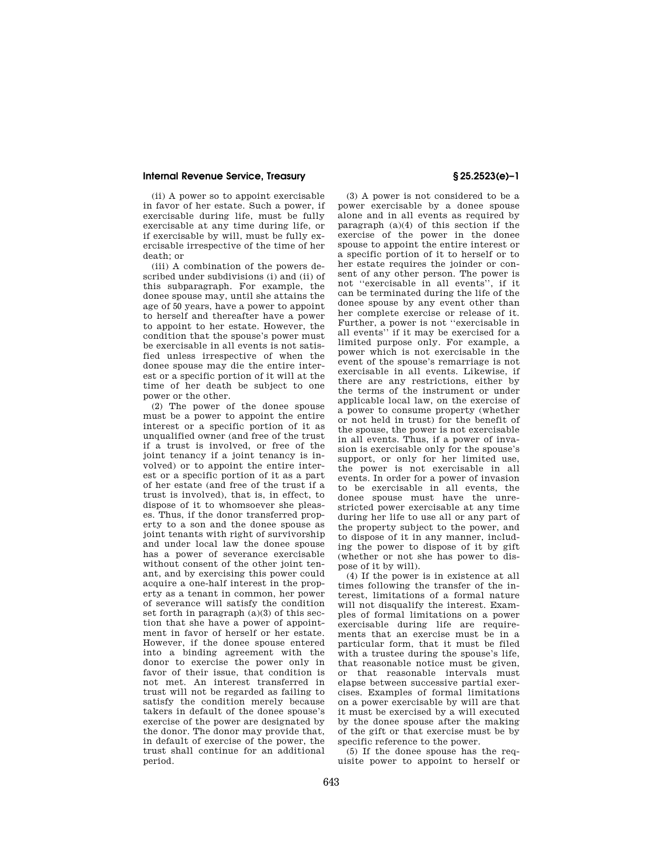(ii) A power so to appoint exercisable in favor of her estate. Such a power, if exercisable during life, must be fully exercisable at any time during life, or if exercisable by will, must be fully exercisable irrespective of the time of her death; or

(iii) A combination of the powers described under subdivisions (i) and (ii) of this subparagraph. For example, the donee spouse may, until she attains the age of 50 years, have a power to appoint to herself and thereafter have a power to appoint to her estate. However, the condition that the spouse's power must be exercisable in all events is not satisfied unless irrespective of when the donee spouse may die the entire interest or a specific portion of it will at the time of her death be subject to one power or the other.

(2) The power of the donee spouse must be a power to appoint the entire interest or a specific portion of it as unqualified owner (and free of the trust if a trust is involved, or free of the joint tenancy if a joint tenancy is involved) or to appoint the entire interest or a specific portion of it as a part of her estate (and free of the trust if a trust is involved), that is, in effect, to dispose of it to whomsoever she pleases. Thus, if the donor transferred property to a son and the donee spouse as joint tenants with right of survivorship and under local law the donee spouse has a power of severance exercisable without consent of the other joint tenant, and by exercising this power could acquire a one-half interest in the property as a tenant in common, her power of severance will satisfy the condition set forth in paragraph  $(a)(3)$  of this section that she have a power of appointment in favor of herself or her estate. However, if the donee spouse entered into a binding agreement with the donor to exercise the power only in favor of their issue, that condition is not met. An interest transferred in trust will not be regarded as failing to satisfy the condition merely because takers in default of the donee spouse's exercise of the power are designated by the donor. The donor may provide that, in default of exercise of the power, the trust shall continue for an additional period.

(3) A power is not considered to be a power exercisable by a donee spouse alone and in all events as required by paragraph (a)(4) of this section if the exercise of the power in the donee spouse to appoint the entire interest or a specific portion of it to herself or to her estate requires the joinder or consent of any other person. The power is not ''exercisable in all events'', if it can be terminated during the life of the donee spouse by any event other than her complete exercise or release of it. Further, a power is not ''exercisable in all events'' if it may be exercised for a limited purpose only. For example, a power which is not exercisable in the event of the spouse's remarriage is not exercisable in all events. Likewise, if there are any restrictions, either by the terms of the instrument or under applicable local law, on the exercise of a power to consume property (whether or not held in trust) for the benefit of the spouse, the power is not exercisable in all events. Thus, if a power of invasion is exercisable only for the spouse's support, or only for her limited use, the power is not exercisable in all events. In order for a power of invasion to be exercisable in all events, the donee spouse must have the unrestricted power exercisable at any time during her life to use all or any part of the property subject to the power, and to dispose of it in any manner, including the power to dispose of it by gift (whether or not she has power to dispose of it by will).

(4) If the power is in existence at all times following the transfer of the interest, limitations of a formal nature will not disqualify the interest. Examples of formal limitations on a power exercisable during life are requirements that an exercise must be in a particular form, that it must be filed with a trustee during the spouse's life, that reasonable notice must be given, or that reasonable intervals must elapse between successive partial exercises. Examples of formal limitations on a power exercisable by will are that it must be exercised by a will executed by the donee spouse after the making of the gift or that exercise must be by specific reference to the power.

(5) If the donee spouse has the requisite power to appoint to herself or